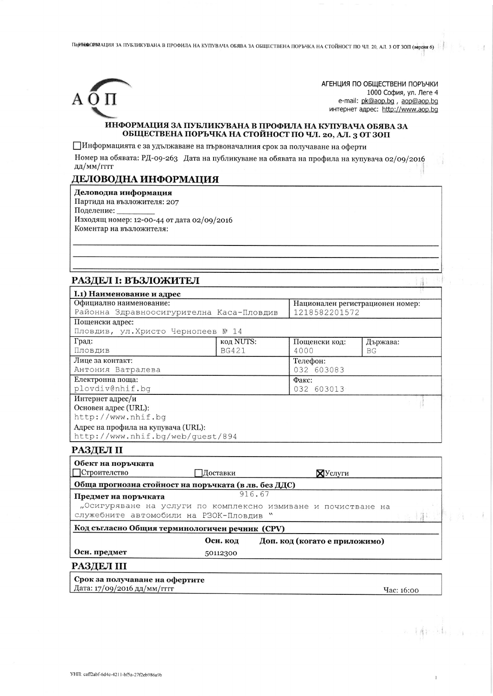ПарНЮФАОРЛАЦИЯ ЗА ПУБЛИКУВАНА В ПРОФИЛА НА КУПУВАЧА ОБЯВА ЗА ОБЩЕСТВЕНА ПОРЪЧКА НА СТОЙНОСТ ПО ЧЛ. 20, АЛ. 3 ОТ ЗОП (версия 6)



АГЕНЦИЯ ПО ОБЩЕСТВЕНИ ПОРЪЧКИ 1000 София, ул. Леге 4 e-mail: pk@aop.bg, aop@aop.bg интернет адрес: http://www.aop.bq

14

#### ИНФОРМАЦИЯ ЗА ПУБЛИКУВАНА В ПРОФИЛА НА КУПУВАЧА ОБЯВА ЗА ОБЩЕСТВЕНА ПОРЪЧКА НА СТОЙНОСТ ПО ЧЛ. 20, АЛ. 3 ОТ ЗОП

ПИнформацията е за удължаване на първоначалния срок за получаване на оферти

Номер на обявата: РД-09-263 Дата на публикуване на обявата на профила на купувача 02/09/2016 дд/мм/гггг

# ДЕЛОВОДНА ИНФОРМАЦИЯ

Деловодна информация Партида на възложителя: 207 Поделение: Изходящ номер: 12-00-44 от дата 02/09/2016 Коментар на възложителя:

# РАЗДЕЛ І: ВЪЗЛОЖИТЕЛ

| I.1) Наименование и адрес                                     |  |              |   |                                  |                 |  |
|---------------------------------------------------------------|--|--------------|---|----------------------------------|-----------------|--|
| Официално наименование:                                       |  |              |   | Национален регистрационен номер: |                 |  |
| Районна Здравноосигурителна Каса-Пловдив                      |  |              |   | 1218582201572                    |                 |  |
| Пощенски адрес:                                               |  |              |   |                                  |                 |  |
| Пловдив, ул. Христо Чернопеев № 14                            |  |              |   |                                  |                 |  |
| Град:                                                         |  | код NUTS:    |   | Пощенски код:                    | Държава:        |  |
| Пловдив                                                       |  | <b>BG421</b> |   | 4000                             | BG <sub>F</sub> |  |
| Лице за контакт:                                              |  |              |   | Телефон:                         |                 |  |
| Антония Ватралева                                             |  |              |   | 032 603083                       |                 |  |
| Електронна поща:                                              |  |              |   | Факс:                            |                 |  |
| plovdiv@nhif.bq                                               |  |              |   | 032 603013                       |                 |  |
| Интернет адрес/и                                              |  |              |   |                                  |                 |  |
| Основен адрес (URL):                                          |  |              |   |                                  |                 |  |
| http://www.nhif.bg                                            |  |              |   |                                  |                 |  |
| Адрес на профила на купувача (URL):                           |  |              |   |                                  |                 |  |
| http://www.nhif.bq/web/quest/894                              |  |              |   |                                  |                 |  |
| РАЗДЕЛ II                                                     |  |              |   |                                  |                 |  |
| Обект на поръчката                                            |  |              |   |                                  |                 |  |
| Строителство<br>Лоставки                                      |  |              |   | $\mathbb{X}$ Услуги              |                 |  |
| Обща прогнозна стойност на поръчката (в лв. без ДДС)          |  |              |   |                                  |                 |  |
| Предмет на поръчката                                          |  | 916.67       |   |                                  |                 |  |
| "Осигуряване на услуги по комплексно измиване и почистване на |  |              |   |                                  |                 |  |
| служебните автомобили на РЗОК-Пловдив                         |  |              | w |                                  |                 |  |
| Код съгласно Общия терминологичен речник (CPV)                |  |              |   |                                  |                 |  |
|                                                               |  | Осн. код     |   | Доп. код (когато е приложимо)    |                 |  |
| Осн. предмет                                                  |  | 50112300     |   |                                  |                 |  |
|                                                               |  |              |   |                                  |                 |  |
| <b>РАЗДЕЛ III</b>                                             |  |              |   |                                  |                 |  |
| Срок за получаване на офертите                                |  |              |   |                                  |                 |  |

Дата: 17/09/2016 дд/мм/гггг

Yac: 16:00

**1994**